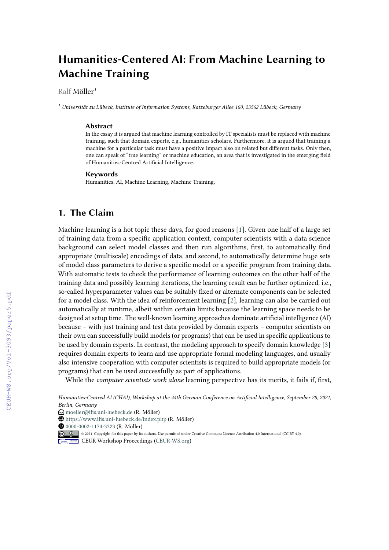# **Humanities-Centered AI: From Machine Learning to Machine Training**

#### Ralf Möller*<sup>1</sup>*

*<sup>1</sup> Universität zu Lübeck, Institute of Information Systems, Ratzeburger Allee 160, 23562 Lübeck, Germany*

#### **Abstract**

In the essay it is argued that machine learning controlled by IT specialists must be replaced with machine training, such that domain experts, e.g., humanities scholars. Furthermore, it is argued that training a machine for a particular task must have a positive impact also on related but different tasks. Only then, one can speak of "true learning" or machine education, an area that is investigated in the emerging field of Humanities-Centred Artificial Intelligence.

#### **Keywords**

Humanities, AI, Machine Learning, Machine Training,

### **1. The Claim**

Machine learning is a hot topic these days, for good reasons [\[1\]](#page--1-0). Given one half of a large set of training data from a specific application context, computer scientists with a data science background can select model classes and then run algorithms, first, to automatically find appropriate (multiscale) encodings of data, and second, to automatically determine huge sets of model class parameters to derive a specific model or a specific program from training data. With automatic tests to check the performance of learning outcomes on the other half of the training data and possibly learning iterations, the learning result can be further optimized, i.e., so-called hyperparameter values can be suitably fixed or alternate components can be selected for a model class. With the idea of reinforcement learning [\[2\]](#page--1-1), learning can also be carried out automatically at runtime, albeit within certain limits because the learning space needs to be designed at setup time. The well-known learning approaches dominate artificial intelligence (AI) because – with just training and test data provided by domain experts – computer scientists on their own can successfully build models (or programs) that can be used in specific applications to be used by domain experts. In contrast, the modeling approach to specify domain knowledge [\[3\]](#page--1-2) requires domain experts to learn and use appropriate formal modeling languages, and usually also intensive cooperation with computer scientists is required to build appropriate models (or programs) that can be used successfully as part of applications.

While the *computer scientists work alone* learning perspective has its merits, it fails if, first,

[0000-0002-1174-3323](https://orcid.org/0000-0002-1174-3323) (R. Möller)

*Humanities-Centred AI (CHAI), Workshop at the 44th German Conference on Artificial Intelligence, September 28, 2021, Berlin, Germany*

 $\bigcirc$  [moeller@ifis.uni-luebeck.de](mailto:moeller@ifis.uni-luebeck.de) (R. Möller)

<sup>~</sup> <https://www.ifis.uni-luebeck.de/index.php> (R. Möller)

<sup>©</sup> 2021 Copyright for this paper by its authors. Use permitted under Creative Commons License Attribution 4.0 International (CC BY 4.0).

**CEUR Workshop [Proceedings](http://ceur-ws.org) [\(CEUR-WS.org\)](http://ceur-ws.org)**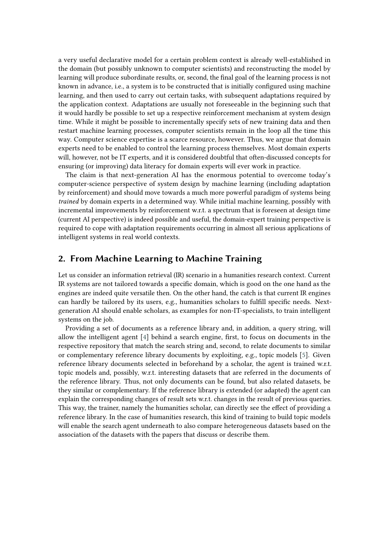a very useful declarative model for a certain problem context is already well-established in the domain (but possibly unknown to computer scientists) and reconstructing the model by learning will produce subordinate results, or, second, the final goal of the learning process is not known in advance, i.e., a system is to be constructed that is initially configured using machine learning, and then used to carry out certain tasks, with subsequent adaptations required by the application context. Adaptations are usually not foreseeable in the beginning such that it would hardly be possible to set up a respective reinforcement mechanism at system design time. While it might be possible to incrementally specify sets of new training data and then restart machine learning processes, computer scientists remain in the loop all the time this way. Computer science expertise is a scarce resource, however. Thus, we argue that domain experts need to be enabled to control the learning process themselves. Most domain experts will, however, not be IT experts, and it is considered doubtful that often-discussed concepts for ensuring (or improving) data literacy for domain experts will ever work in practice.

The claim is that next-generation AI has the enormous potential to overcome today's computer-science perspective of system design by machine learning (including adaptation by reinforcement) and should move towards a much more powerful paradigm of systems being *trained* by domain experts in a determined way. While initial machine learning, possibly with incremental improvements by reinforcement w.r.t. a spectrum that is foreseen at design time (current AI perspective) is indeed possible and useful, the domain-expert training perspective is required to cope with adaptation requirements occurring in almost all serious applications of intelligent systems in real world contexts.

### **2. From Machine Learning to Machine Training**

Let us consider an information retrieval (IR) scenario in a humanities research context. Current IR systems are not tailored towards a specific domain, which is good on the one hand as the engines are indeed quite versatile then. On the other hand, the catch is that current IR engines can hardly be tailored by its users, e.g., humanities scholars to fulfill specific needs. Nextgeneration AI should enable scholars, as examples for non-IT-specialists, to train intelligent systems on the job.

Providing a set of documents as a reference library and, in addition, a query string, will allow the intelligent agent [\[4\]](#page-3-0) behind a search engine, first, to focus on documents in the respective repository that match the search string and, second, to relate documents to similar or complementary reference library documents by exploiting, e.g., topic models [\[5\]](#page-4-0). Given reference library documents selected in beforehand by a scholar, the agent is trained w.r.t. topic models and, possibly, w.r.t. interesting datasets that are referred in the documents of the reference library. Thus, not only documents can be found, but also related datasets, be they similar or complementary. If the reference library is extended (or adapted) the agent can explain the corresponding changes of result sets w.r.t. changes in the result of previous queries. This way, the trainer, namely the humanities scholar, can directly see the effect of providing a reference library. In the case of humanities research, this kind of training to build topic models will enable the search agent underneath to also compare heterogeneous datasets based on the association of the datasets with the papers that discuss or describe them.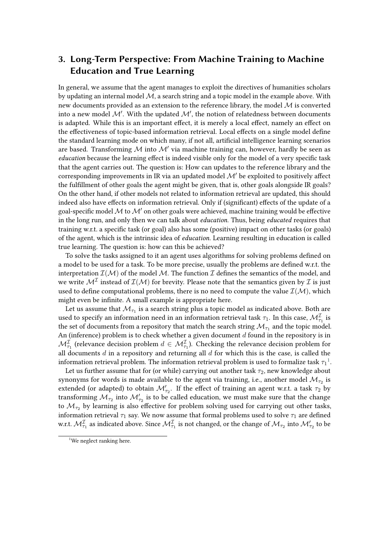## **3. Long-Term Perspective: From Machine Training to Machine Education and True Learning**

In general, we assume that the agent manages to exploit the directives of humanities scholars by updating an internal model  $M$ , a search string and a topic model in the example above. With new documents provided as an extension to the reference library, the model  $M$  is converted into a new model  $\mathcal{M}'$ . With the updated  $\mathcal{M}'$ , the notion of relatedness between documents is adapted. While this is an important effect, it is merely a local effect, namely an effect on the effectiveness of topic-based information retrieval. Local effects on a single model define the standard learning mode on which many, if not all, artificial intelligence learning scenarios are based. Transforming M into M' via machine training can, however, hardly be seen as *education* because the learning effect is indeed visible only for the model of a very specific task that the agent carries out. The question is: How can updates to the reference library and the corresponding improvements in IR via an updated model  $\mathcal{M}'$  be exploited to positively affect the fulfillment of other goals the agent might be given, that is, other goals alongside IR goals? On the other hand, if other models not related to information retrieval are updated, this should indeed also have effects on information retrieval. Only if (significant) effects of the update of a goal-specific model  $M$  to  $M'$  on other goals were achieved, machine training would be effective in the long run, and only then we can talk about *education*. Thus, being *educated* requires that training w.r.t. a specific task (or goal) also has some (positive) impact on other tasks (or goals) of the agent, which is the intrinsic idea of *education*. Learning resulting in education is called true learning. The question is: how can this be achieved?

To solve the tasks assigned to it an agent uses algorithms for solving problems defined on a model to be used for a task. To be more precise, usually the problems are defined w.r.t. the interpretation  $\mathcal{I}(\mathcal{M})$  of the model M. The function  $\mathcal{I}$  defines the semantics of the model, and we write  $\mathcal{M}^{\mathcal{I}}$  instead of  $\mathcal{I}(\mathcal{M})$  for brevity. Please note that the semantics given by  $\mathcal I$  is just used to define computational problems, there is no need to compute the value  $\mathcal{I}(\mathcal{M})$ , which might even be infinite. A small example is appropriate here.

Let us assume that  $\mathcal{M}_{\tau_1}$  is a search string plus a topic model as indicated above. Both are used to specify an information need in an information retrieval task  $\tau_1.$  In this case,  $\mathcal{M}_{\tau_1}^{\mathcal{I}}$  is the set of documents from a repository that match the search string  $\mathcal{M}_{\tau_1}$  and the topic model. An (inference) problem is to check whether a given document  $d$  found in the repository is in  $\mathcal{M}_{\tau_1}^{\mathcal{I}}$  (relevance decision problem  $d\in \mathcal{M}_{\tau_1}^{\mathcal{I}}$ ). Checking the relevance decision problem for all documents  $d$  in a repository and returning all  $d$  for which this is the case, is called the information retrieval problem. The information retrieval problem is used to formalize task  $\tau_1{}^1$  $\tau_1{}^1$  $\tau_1{}^1$ .

Let us further assume that for (or while) carrying out another task  $\tau_2$ , new knowledge about synonyms for words is made available to the agent via training, i.e., another model  $\mathcal{M}_{\tau_2}$  is extended (or adapted) to obtain  $\mathcal{M}'_{\tau_2}$ . If the effect of training an agent w.r.t. a task  $\tau_2$  by transforming  $\mathcal{M}_{\tau_2}$  into  $\mathcal{M}'_{\tau_2}$  is to be called education, we must make sure that the change to  $\mathcal{M}_{\tau_2}$  by learning is also effective for problem solving used for carrying out other tasks, information retrieval  $\tau_1$  say. We now assume that formal problems used to solve  $\tau_1$  are defined w.r.t.  $\mathcal{M}_{\tau_1}^{\mathcal{I}}$  as indicated above. Since  $\mathcal{M}_{\tau_1}^{\mathcal{I}}$  is not changed, or the change of  $\mathcal{M}_{\tau_2}$  into  $\mathcal{M}_{\tau_2}'$  to be

<span id="page-2-0"></span><sup>&</sup>lt;sup>1</sup>We neglect ranking here.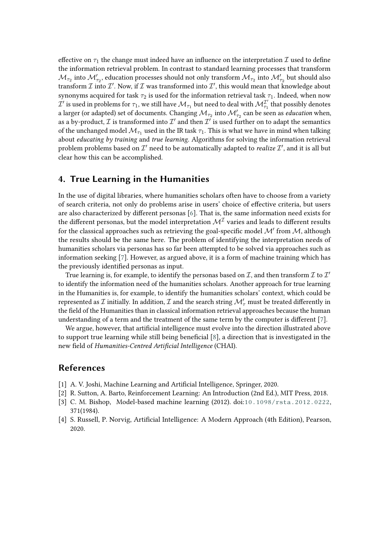effective on  $\tau_1$  the change must indeed have an influence on the interpretation  $\mathcal I$  used to define the information retrieval problem. In contrast to standard learning processes that transform  $\mathcal{M}_{\tau_2}$  into  $\mathcal{M}'_{\tau_2}$ , education processes should not only transform  $\mathcal{M}_{\tau_2}$  into  $\mathcal{M}'_{\tau_2}$  but should also transform  ${\cal I}$  into  ${\cal I}'$ . Now, if  ${\cal I}$  was transformed into  ${\cal I}'$ , this would mean that knowledge about synonyms acquired for task  $\tau_2$  is used for the information retrieval task  $\tau_1$ . Indeed, when now  $\mathcal I'$  is used in problems for  $\tau_1$ , we still have  $\mathcal M_{\tau_1}$  but need to deal with  $\mathcal M_{\tau_1}^{\mathcal I'}$  that possibly denotes a larger (or adapted) set of documents. Changing  $\mathcal{M}_{\tau_2}$  into  $\mathcal{M}'_{\tau_2}$  can be seen as *education* when, as a by-product,  ${\cal I}$  is transformed into  ${\cal I}'$  and then  ${\cal I}'$  is used further on to adapt the semantics of the unchanged model  $\mathcal{M}_{\tau_1}$  used in the IR task  $\tau_1$ . This is what we have in mind when talking about *educating by training* and *true learning*. Algorithms for solving the information retrieval problem problems based on  $\mathcal{I}'$  need to be automatically adapted to *realize*  $\mathcal{I}'$ , and it is all but clear how this can be accomplished.

#### **4. True Learning in the Humanities**

In the use of digital libraries, where humanities scholars often have to choose from a variety of search criteria, not only do problems arise in users' choice of effective criteria, but users are also characterized by different personas [\[6\]](#page-4-1). That is, the same information need exists for the different personas, but the model interpretation  $\mathcal{M}^{\mathcal{I}}$  varies and leads to different results for the classical approaches such as retrieving the goal-specific model  $\mathcal M'$  from  $\mathcal M$ , although the results should be the same here. The problem of identifying the interpretation needs of humanities scholars via personas has so far been attempted to be solved via approaches such as information seeking [\[7\]](#page-4-2). However, as argued above, it is a form of machine training which has the previously identified personas as input.

True learning is, for example, to identify the personas based on  $\mathcal I,$  and then transform  $\mathcal I$  to  $\mathcal I'$ to identify the information need of the humanities scholars. Another approach for true learning in the Humanities is, for example, to identify the humanities scholars' context, which could be represented as  ${\cal I}$  initially. In addition,  ${\cal I}$  and the search string  ${\cal M}'_\tau$  must be treated differently in the field of the Humanities than in classical information retrieval approaches because the human understanding of a term and the treatment of the same term by the computer is different [\[7\]](#page-4-2).

We argue, however, that artificial intelligence must evolve into the direction illustrated above to support true learning while still being beneficial [\[8\]](#page-4-3), a direction that is investigated in the new field of *Humanities-Centred Artificial Intelligence* (CHAI).

### **References**

- [1] A. V. Joshi, Machine Learning and Artificial Intelligence, Springer, 2020.
- [2] R. Sutton, A. Barto, Reinforcement Learning: An Introduction (2nd Ed.), MIT Press, 2018.
- [3] C. M. Bishop, Model-based machine learning (2012). doi:[10.1098/rsta.2012.0222](http://dx.doi.org/10.1098/rsta.2012.0222), 371(1984).
- <span id="page-3-0"></span>[4] S. Russell, P. Norvig, Artificial Intelligence: A Modern Approach (4th Edition), Pearson, 2020.